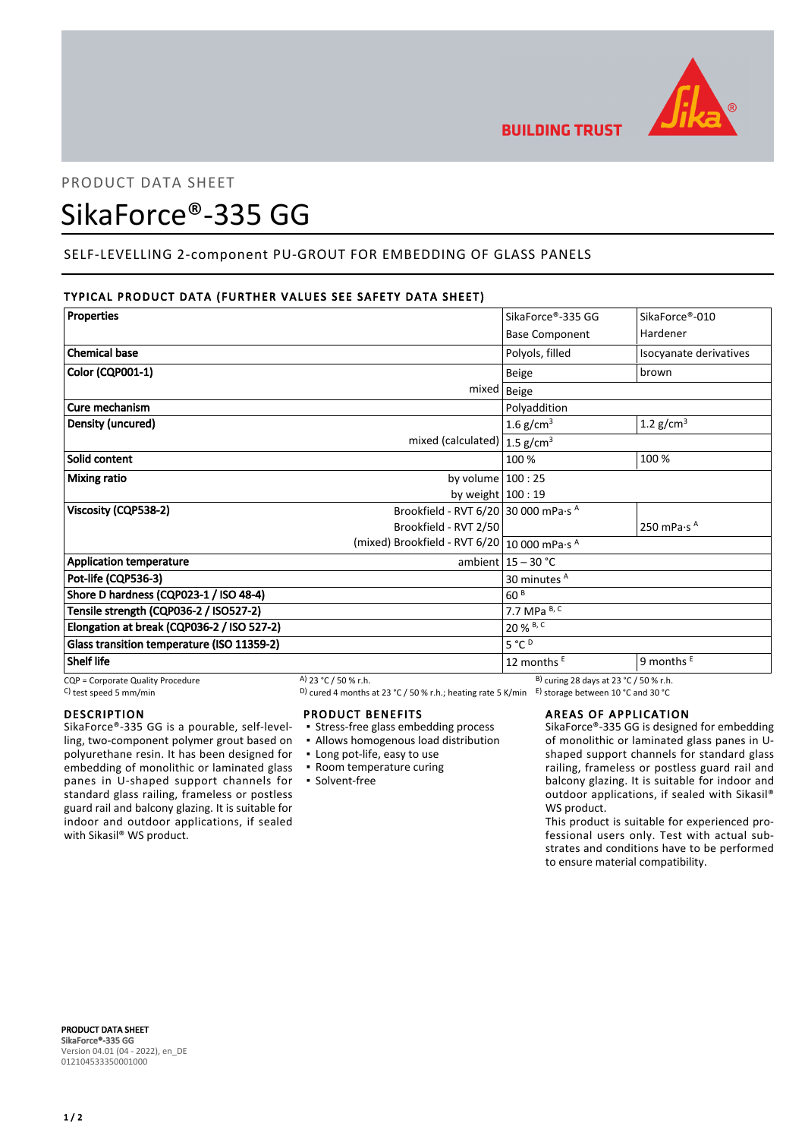

## PRODUCT DATA SHEET

# SikaForce®-335 GG

## SELF-LEVELLING 2-component PU-GROUT FOR EMBEDDING OF GLASS PANELS

### TYPICAL PRODUCT DATA (FURTHER VALUES SEE SAFETY DATA SHEET)

| <b>Properties</b>                                         |                                                | SikaForce®-335 GG                                 | SikaForce®-010                  |
|-----------------------------------------------------------|------------------------------------------------|---------------------------------------------------|---------------------------------|
|                                                           |                                                | <b>Base Component</b>                             | Hardener                        |
| <b>Chemical base</b>                                      |                                                | Polyols, filled                                   | Isocyanate derivatives          |
| <b>Color (CQP001-1)</b>                                   |                                                | Beige                                             | brown                           |
|                                                           |                                                | mixed   Beige                                     |                                 |
| Cure mechanism                                            |                                                | Polyaddition                                      |                                 |
| Density (uncured)                                         |                                                | 1.6 $g/cm3$                                       | 1.2 $g/cm3$                     |
|                                                           | mixed (calculated) $ 1.5$ g/cm <sup>3</sup>    |                                                   |                                 |
| Solid content                                             |                                                | 100 %                                             | 100 %                           |
| <b>Mixing ratio</b>                                       | by volume $100:25$                             |                                                   |                                 |
|                                                           | by weight $100:19$                             |                                                   |                                 |
| Viscosity (CQP538-2)                                      | Brookfield - RVT 6/20 30 000 mPa·s A           |                                                   |                                 |
|                                                           | Brookfield - RVT 2/50                          |                                                   | 250 mPa $\cdot$ s $^{\text{A}}$ |
|                                                           | (mixed) Brookfield - RVT 6/20   10 000 mPa·s A |                                                   |                                 |
| <b>Application temperature</b>                            |                                                | ambient $15 - 30$ °C                              |                                 |
| Pot-life (CQP536-3)                                       |                                                | 30 minutes A                                      |                                 |
| Shore D hardness (CQP023-1 / ISO 48-4)<br>60 <sup>B</sup> |                                                |                                                   |                                 |
| Tensile strength (CQP036-2 / ISO527-2)                    |                                                | 7.7 MPa B, C                                      |                                 |
| Elongation at break (CQP036-2 / ISO 527-2)                |                                                | 20 % B, C                                         |                                 |
| Glass transition temperature (ISO 11359-2)                |                                                | $5^{\circ}$ C <sup>D</sup>                        |                                 |
| <b>Shelf life</b>                                         |                                                | 12 months <sup>E</sup>                            | 9 months $E$                    |
| CQP = Corporate Quality Procedure                         | A) 23 °C / 50 % r.h.                           | <sup>B)</sup> curing 28 days at 23 °C / 50 % r.h. |                                 |

DESCRIPTION

SikaForce®-335 GG is a pourable, self-levelling, two-component polymer grout based on polyurethane resin. It has been designed for embedding of monolithic or laminated glass panes in U-shaped support channels for standard glass railing, frameless or postless guard rail and balcony glazing. It is suitable for indoor and outdoor applications, if sealed with Sikasil<sup>®</sup> WS product.

C) test speed 5 mm/min D) cured 4 months at 23 °C / 50 % r.h.; heating rate 5 K/min E) storage between 10 °C and 30 °C

#### PRODUCT BENEFITS

- **Stress-free glass embedding process**
- Allows homogenous load distribution
- Long pot-life, easy to use
- Room temperature curing
- Solvent-free

#### AREAS OF APPLICATION

SikaForce®-335 GG is designed for embedding of monolithic or laminated glass panes in Ushaped support channels for standard glass railing, frameless or postless guard rail and balcony glazing. It is suitable for indoor and outdoor applications, if sealed with Sikasil® WS product.

This product is suitable for experienced professional users only. Test with actual substrates and conditions have to be performed to ensure material compatibility.

PRODUCT DATA SHEET SikaForce®-335 GG Version 04.01 (04 - 2022), en\_DE 012104533350001000